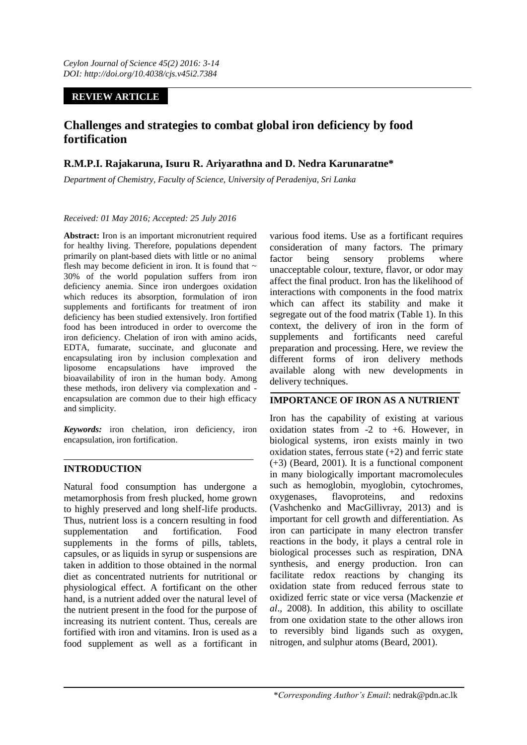### **REVIEW ARTICLE**

# **Challenges and strategies to combat global iron deficiency by food fortification**

# **R.M.P.I. Rajakaruna, Isuru R. Ariyarathna and D. Nedra Karunaratne\***

*Department of Chemistry, Faculty of Science, University of Peradeniya, Sri Lanka*

#### *Received: 01 May 2016; Accepted: 25 July 2016*

**Abstract:** Iron is an important micronutrient required for healthy living. Therefore, populations dependent primarily on plant-based diets with little or no animal flesh may become deficient in iron. It is found that  $\sim$ 30% of the world population suffers from iron deficiency anemia. Since iron undergoes oxidation which reduces its absorption, formulation of iron supplements and fortificants for treatment of iron deficiency has been studied extensively. Iron fortified food has been introduced in order to overcome the iron deficiency. Chelation of iron with amino acids, EDTA, fumarate, succinate, and gluconate and encapsulating iron by inclusion complexation and liposome encapsulations have improved the bioavailability of iron in the human body. Among these methods, iron delivery via complexation and encapsulation are common due to their high efficacy and simplicity.

*Keywords:* iron chelation, iron deficiency, iron encapsulation, iron fortification.

### **INTRODUCTION**

Natural food consumption has undergone a metamorphosis from fresh plucked, home grown to highly preserved and long shelf-life products. Thus, nutrient loss is a concern resulting in food supplementation and fortification. Food supplements in the forms of pills, tablets, capsules, or as liquids in syrup or suspensions are taken in addition to those obtained in the normal diet as concentrated nutrients for nutritional or physiological effect. A fortificant on the other hand, is a nutrient added over the natural level of the nutrient present in the food for the purpose of increasing its nutrient content. Thus, cereals are fortified with iron and vitamins. Iron is used as a food supplement as well as a fortificant in

various food items. Use as a fortificant requires consideration of many factors. The primary factor being sensory problems where unacceptable colour, texture, flavor, or odor may affect the final product. Iron has the likelihood of interactions with components in the food matrix which can affect its stability and make it segregate out of the food matrix (Table 1). In this context, the delivery of iron in the form of supplements and fortificants need careful preparation and processing. Here, we review the different forms of iron delivery methods available along with new developments in delivery techniques.

### **IMPORTANCE OF IRON AS A NUTRIENT**

Iron has the capability of existing at various oxidation states from -2 to +6. However, in biological systems, iron exists mainly in two oxidation states, ferrous state  $(+2)$  and ferric state (+3) (Beard, 2001). It is a functional component in many biologically important macromolecules such as hemoglobin, myoglobin, cytochromes, oxygenases, flavoproteins, and redoxins (Vashchenko and MacGillivray, 2013) and is important for cell growth and differentiation. As iron can participate in many electron transfer reactions in the body, it plays a central role in biological processes such as respiration, DNA synthesis, and energy production. Iron can facilitate redox reactions by changing its oxidation state from reduced ferrous state to oxidized ferric state or vice versa (Mackenzie *et al*., 2008). In addition, this ability to oscillate from one oxidation state to the other allows iron to reversibly bind ligands such as oxygen, nitrogen, and sulphur atoms (Beard, 2001).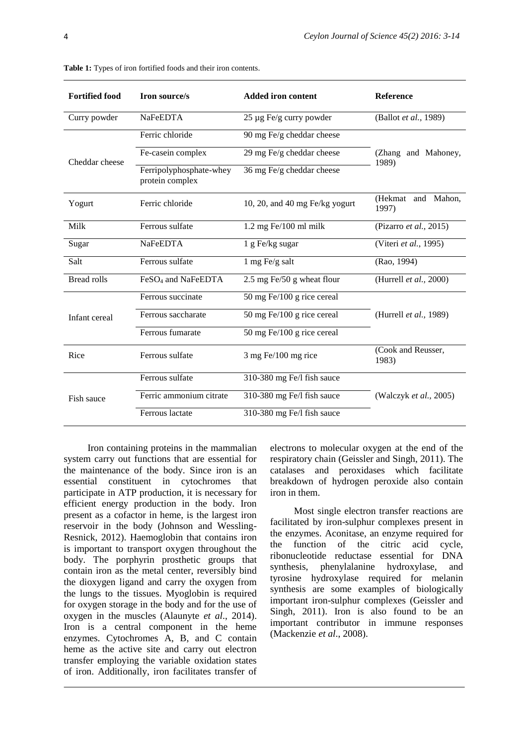| <b>Fortified food</b> | Iron source/s                              | <b>Added iron content</b>      | Reference                    |  |
|-----------------------|--------------------------------------------|--------------------------------|------------------------------|--|
| Curry powder          | <b>NaFeEDTA</b>                            | 25 µg Fe/g curry powder        | (Ballot et al., 1989)        |  |
| Cheddar cheese        | Ferric chloride                            | 90 mg Fe/g cheddar cheese      | (Zhang and Mahoney,<br>1989) |  |
|                       | Fe-casein complex                          | 29 mg Fe/g cheddar cheese      |                              |  |
|                       | Ferripolyphosphate-whey<br>protein complex | 36 mg Fe/g cheddar cheese      |                              |  |
| Yogurt                | Ferric chloride                            | 10, 20, and 40 mg Fe/kg yogurt | (Hekmat and Mahon,<br>1997)  |  |
| Milk                  | Ferrous sulfate                            | $1.2$ mg Fe $/100$ ml milk     | (Pizarro et al., 2015)       |  |
| Sugar                 | NaFeEDTA                                   | 1 g Fe/kg sugar                | (Viteri et al., 1995)        |  |
| Salt                  | Ferrous sulfate                            | 1 mg Fe/g salt                 | (Rao, 1994)                  |  |
| <b>Bread rolls</b>    | FeSO <sub>4</sub> and NaFeEDTA             | 2.5 mg Fe/50 g wheat flour     | (Hurrell et al., 2000)       |  |
| Infant cereal         | Ferrous succinate                          | 50 mg Fe/100 g rice cereal     |                              |  |
|                       | Ferrous saccharate                         | 50 mg Fe/100 g rice cereal     | (Hurrell et al., 1989)       |  |
|                       | Ferrous fumarate                           | 50 mg Fe/100 g rice cereal     |                              |  |
| Rice                  | Ferrous sulfate                            | $3$ mg Fe/100 mg rice          | (Cook and Reusser,<br>1983)  |  |
| Fish sauce            | Ferrous sulfate                            | 310-380 mg Fe/l fish sauce     |                              |  |
|                       | Ferric ammonium citrate                    | 310-380 mg Fe/l fish sauce     | (Walczyk et al., 2005)       |  |
|                       | Ferrous lactate                            | 310-380 mg Fe/l fish sauce     |                              |  |

**Table 1:** Types of iron fortified foods and their iron contents.

Iron containing proteins in the mammalian system carry out functions that are essential for the maintenance of the body. Since iron is an essential constituent in cytochromes that participate in ATP production, it is necessary for efficient energy production in the body. Iron present as a cofactor in heme, is the largest iron reservoir in the body (Johnson and Wessling-Resnick, 2012). Haemoglobin that contains iron is important to transport oxygen throughout the body. The porphyrin prosthetic groups that contain iron as the metal center, reversibly bind the dioxygen ligand and carry the oxygen from the lungs to the tissues. Myoglobin is required for oxygen storage in the body and for the use of oxygen in the muscles (Alaunyte *et al*., 2014). Iron is a central component in the heme enzymes. Cytochromes A, B, and C contain heme as the active site and carry out electron transfer employing the variable oxidation states of iron. Additionally, iron facilitates transfer of electrons to molecular oxygen at the end of the respiratory chain (Geissler and Singh, 2011). The catalases and peroxidases which facilitate breakdown of hydrogen peroxide also contain iron in them.

Most single electron transfer reactions are facilitated by iron-sulphur complexes present in the enzymes. Aconitase, an enzyme required for the function of the citric acid cycle, ribonucleotide reductase essential for DNA synthesis, phenylalanine hydroxylase, and tyrosine hydroxylase required for melanin synthesis are some examples of biologically important iron-sulphur complexes (Geissler and Singh, 2011). Iron is also found to be an important contributor in immune responses (Mackenzie *et al*., 2008).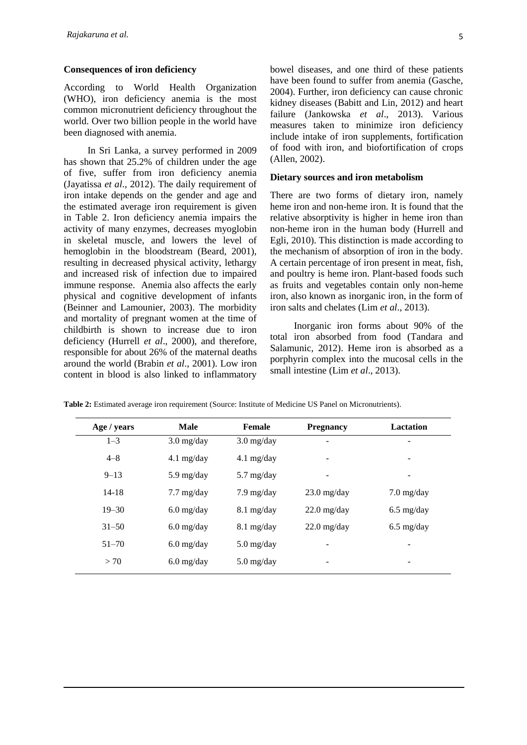#### **Consequences of iron deficiency**

According to World Health Organization (WHO), iron deficiency anemia is the most common micronutrient deficiency throughout the world. Over two billion people in the world have been diagnosed with anemia.

In Sri Lanka, a survey performed in 2009 has shown that 25.2% of children under the age of five, suffer from iron deficiency anemia (Jayatissa *et al*., 2012). The daily requirement of iron intake depends on the gender and age and the estimated average iron requirement is given in Table 2. Iron deficiency anemia impairs the activity of many enzymes, decreases myoglobin in skeletal muscle, and lowers the level of hemoglobin in the bloodstream (Beard, 2001), resulting in decreased physical activity, lethargy and increased risk of infection due to impaired immune response. Anemia also affects the early physical and cognitive development of infants (Beinner and Lamounier, 2003). The morbidity and mortality of pregnant women at the time of childbirth is shown to increase due to iron deficiency (Hurrell *et al*., 2000), and therefore, responsible for about 26% of the maternal deaths around the world (Brabin *et al*., 2001). Low iron content in blood is also linked to inflammatory bowel diseases, and one third of these patients have been found to suffer from anemia (Gasche, 2004). Further, iron deficiency can cause chronic kidney diseases (Babitt and Lin, 2012) and heart failure (Jankowska *et al*., 2013). Various measures taken to minimize iron deficiency include intake of iron supplements, fortification of food with iron, and biofortification of crops (Allen, 2002).

#### **Dietary sources and iron metabolism**

There are two forms of dietary iron, namely heme iron and non-heme iron. It is found that the relative absorptivity is higher in heme iron than non-heme iron in the human body (Hurrell and Egli, 2010). This distinction is made according to the mechanism of absorption of iron in the body. A certain percentage of iron present in meat, fish, and poultry is heme iron. Plant-based foods such as fruits and vegetables contain only non-heme iron, also known as inorganic iron, in the form of iron salts and chelates (Lim *et al*., 2013).

Inorganic iron forms about 90% of the total iron absorbed from food (Tandara and Salamunic, 2012). Heme iron is absorbed as a porphyrin complex into the mucosal cells in the small intestine (Lim *et al*., 2013).

| Age / years | <b>Male</b>          | Female               | <b>Pregnancy</b>      | <b>Lactation</b>     |
|-------------|----------------------|----------------------|-----------------------|----------------------|
| $1 - 3$     | $3.0$ mg/day         | $3.0$ mg/day         | -                     | -                    |
| $4 - 8$     | $4.1$ mg/day         | $4.1$ mg/day         |                       | -                    |
| $9 - 13$    | $5.9$ mg/day         | $5.7 \text{ mg/day}$ |                       | -                    |
| $14 - 18$   | $7.7 \text{ mg/day}$ | $7.9 \text{ mg/day}$ | $23.0 \text{ mg/day}$ | $7.0 \text{ mg/day}$ |
| $19 - 30$   | $6.0$ mg/day         | $8.1 \text{ mg/day}$ | $22.0$ mg/day         | $6.5 \text{ mg/day}$ |
| $31 - 50$   | $6.0$ mg/day         | $8.1$ mg/day         | $22.0$ mg/day         | $6.5 \text{ mg/day}$ |
| $51 - 70$   | $6.0$ mg/day         | $5.0$ mg/day         |                       | -                    |
| > 70        | $6.0$ mg/day         | $5.0$ mg/day         | -                     | -                    |

**Table 2:** Estimated average iron requirement (Source: Institute of Medicine US Panel on Micronutrients).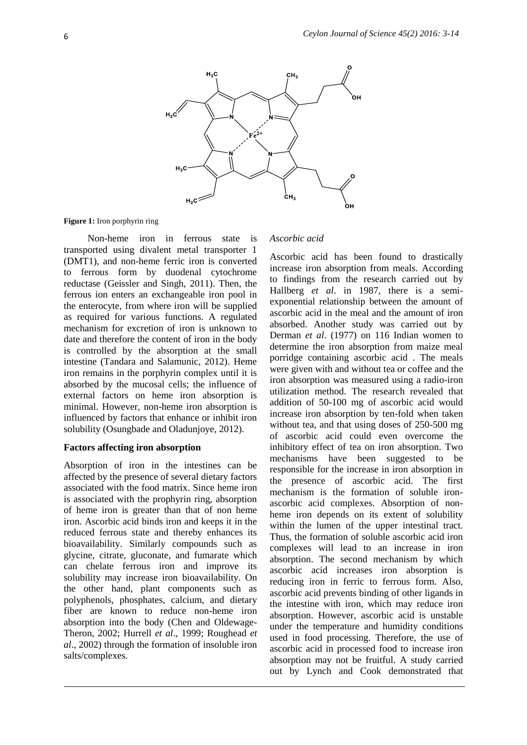

**Figure 1:** Iron porphyrin ring

Non-heme iron in ferrous state is transported using divalent metal transporter 1 (DMT1), and non-heme ferric iron is converted to ferrous form by duodenal cytochrome reductase (Geissler and Singh, 2011). Then, the ferrous ion enters an exchangeable iron pool in the enterocyte, from where iron will be supplied as required for various functions. A regulated mechanism for excretion of iron is unknown to date and therefore the content of iron in the body is controlled by the absorption at the small intestine (Tandara and Salamunic, 2012). Heme iron remains in the porphyrin complex until it is absorbed by the mucosal cells; the influence of external factors on heme iron absorption is minimal. However, non-heme iron absorption is influenced by factors that enhance or inhibit iron solubility (Osungbade and Oladunjoye, 2012).

#### **Factors affecting iron absorption**

Absorption of iron in the intestines can be affected by the presence of several dietary factors associated with the food matrix. Since heme iron is associated with the prophyrin ring, absorption of heme iron is greater than that of non heme iron. Ascorbic acid binds iron and keeps it in the reduced ferrous state and thereby enhances its bioavailability. Similarly compounds such as glycine, citrate, gluconate, and fumarate which can chelate ferrous iron and improve its solubility may increase iron bioavailability. On the other hand, plant components such as polyphenols, phosphates, calcium, and dietary fiber are known to reduce non-heme iron absorption into the body (Chen and Oldewage-Theron, 2002; Hurrell *et al*., 1999; Roughead *et al*., 2002) through the formation of insoluble iron salts/complexes.

### *Ascorbic acid*

Ascorbic acid has been found to drastically increase iron absorption from meals. According to findings from the research carried out by Hallberg *et al*. in 1987, there is a semiexponential relationship between the amount of ascorbic acid in the meal and the amount of iron absorbed. Another study was carried out by Derman *et al*. (1977) on 116 Indian women to determine the iron absorption from maize meal porridge containing ascorbic acid . The meals were given with and without tea or coffee and the iron absorption was measured using a radio-iron utilization method. The research revealed that addition of 50-100 mg of ascorbic acid would increase iron absorption by ten-fold when taken without tea, and that using doses of 250-500 mg of ascorbic acid could even overcome the inhibitory effect of tea on iron absorption. Two mechanisms have been suggested to be responsible for the increase in iron absorption in the presence of ascorbic acid. The first mechanism is the formation of soluble ironascorbic acid complexes. Absorption of nonheme iron depends on its extent of solubility within the lumen of the upper intestinal tract. Thus, the formation of soluble ascorbic acid iron complexes will lead to an increase in iron absorption. The second mechanism by which ascorbic acid increases iron absorption is reducing iron in ferric to ferrous form. Also, ascorbic acid prevents binding of other ligands in the intestine with iron, which may reduce iron absorption. However, ascorbic acid is unstable under the temperature and humidity conditions used in food processing. Therefore, the use of ascorbic acid in processed food to increase iron absorption may not be fruitful. A study carried out by Lynch and Cook demonstrated that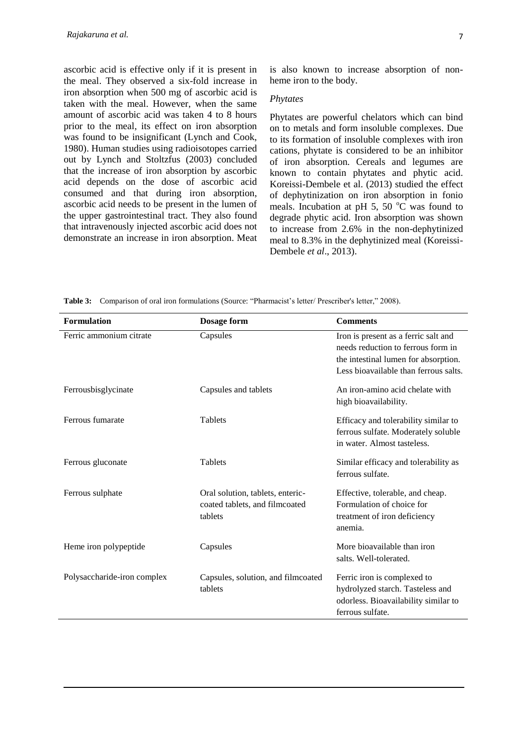ascorbic acid is effective only if it is present in the meal. They observed a six-fold increase in iron absorption when 500 mg of ascorbic acid is taken with the meal. However, when the same amount of ascorbic acid was taken 4 to 8 hours prior to the meal, its effect on iron absorption was found to be insignificant (Lynch and Cook, 1980). Human studies using radioisotopes carried out by Lynch and Stoltzfus (2003) concluded that the increase of iron absorption by ascorbic acid depends on the dose of ascorbic acid consumed and that during iron absorption, ascorbic acid needs to be present in the lumen of the upper gastrointestinal tract. They also found that intravenously injected ascorbic acid does not demonstrate an increase in iron absorption. Meat

is also known to increase absorption of nonheme iron to the body.

#### *Phytates*

Phytates are powerful chelators which can bind on to metals and form insoluble complexes. Due to its formation of insoluble complexes with iron cations, phytate is considered to be an inhibitor of iron absorption. Cereals and legumes are known to contain phytates and phytic acid. Koreissi-Dembele et al. (2013) studied the effect of dephytinization on iron absorption in fonio meals. Incubation at pH 5, 50 $\degree$ C was found to degrade phytic acid. Iron absorption was shown to increase from 2.6% in the non-dephytinized meal to 8.3% in the dephytinized meal (Koreissi-Dembele *et al*., 2013).

**Table 3:** Comparison of oral iron formulations (Source: "Pharmacist's letter/ Prescriber's letter," 2008).

| <b>Formulation</b>          | Dosage form                                                                   | <b>Comments</b>                                                                                                                                             |
|-----------------------------|-------------------------------------------------------------------------------|-------------------------------------------------------------------------------------------------------------------------------------------------------------|
| Ferric ammonium citrate     | Capsules                                                                      | Iron is present as a ferric salt and<br>needs reduction to ferrous form in<br>the intestinal lumen for absorption.<br>Less bioavailable than ferrous salts. |
| Ferrousbisglycinate         | Capsules and tablets                                                          | An iron-amino acid chelate with<br>high bioavailability.                                                                                                    |
| Ferrous fumarate            | Tablets                                                                       | Efficacy and tolerability similar to<br>ferrous sulfate. Moderately soluble<br>in water. Almost tasteless.                                                  |
| Ferrous gluconate           | Tablets                                                                       | Similar efficacy and tolerability as<br>ferrous sulfate.                                                                                                    |
| Ferrous sulphate            | Oral solution, tablets, enteric-<br>coated tablets, and filmcoated<br>tablets | Effective, tolerable, and cheap.<br>Formulation of choice for<br>treatment of iron deficiency<br>anemia.                                                    |
| Heme iron polypeptide       | Capsules                                                                      | More bioavailable than iron<br>salts. Well-tolerated.                                                                                                       |
| Polysaccharide-iron complex | Capsules, solution, and filmcoated<br>tablets                                 | Ferric iron is complexed to<br>hydrolyzed starch. Tasteless and<br>odorless. Bioavailability similar to<br>ferrous sulfate.                                 |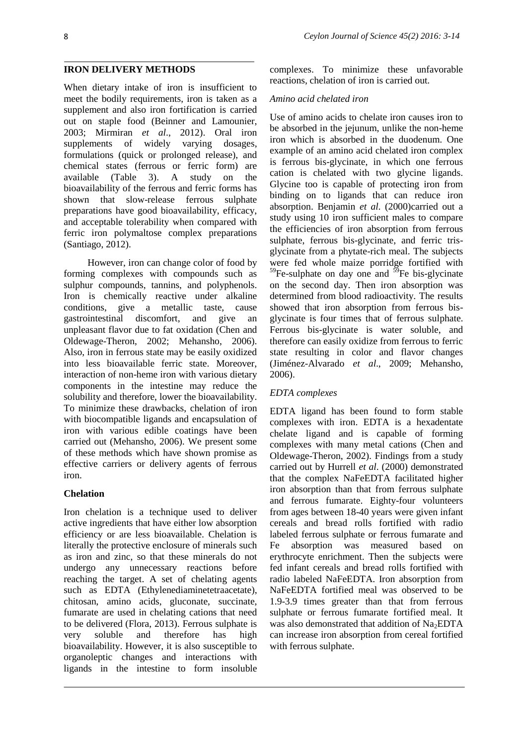#### **IRON DELIVERY METHODS**

When dietary intake of iron is insufficient to meet the bodily requirements, iron is taken as a supplement and also iron fortification is carried out on staple food (Beinner and Lamounier, 2003; Mirmiran *et al*., 2012). Oral iron supplements of widely varying dosages, formulations (quick or prolonged release), and chemical states (ferrous or ferric form) are available (Table 3). A study on the bioavailability of the ferrous and ferric forms has shown that slow-release ferrous sulphate preparations have good bioavailability, efficacy, and acceptable tolerability when compared with ferric iron polymaltose complex preparations (Santiago, 2012).

However, iron can change color of food by forming complexes with compounds such as sulphur compounds, tannins, and polyphenols. Iron is chemically reactive under alkaline conditions, give a metallic taste, cause gastrointestinal discomfort, and give an unpleasant flavor due to fat oxidation (Chen and Oldewage-Theron, 2002; Mehansho, 2006). Also, iron in ferrous state may be easily oxidized into less bioavailable ferric state. Moreover, interaction of non-heme iron with various dietary components in the intestine may reduce the solubility and therefore, lower the bioavailability. To minimize these drawbacks, chelation of iron with biocompatible ligands and encapsulation of iron with various edible coatings have been carried out (Mehansho, 2006). We present some of these methods which have shown promise as effective carriers or delivery agents of ferrous iron.

#### **Chelation**

Iron chelation is a technique used to deliver active ingredients that have either low absorption efficiency or are less bioavailable. Chelation is literally the protective enclosure of minerals such as iron and zinc, so that these minerals do not undergo any unnecessary reactions before reaching the target. A set of chelating agents such as EDTA (Ethylenediaminetetraacetate), chitosan, amino acids, gluconate, succinate, fumarate are used in chelating cations that need to be delivered (Flora, 2013). Ferrous sulphate is very soluble and therefore has high bioavailability. However, it is also susceptible to organoleptic changes and interactions with ligands in the intestine to form insoluble

complexes. To minimize these unfavorable reactions, chelation of iron is carried out.

#### *Amino acid chelated iron*

Use of amino acids to chelate iron causes iron to be absorbed in the jejunum, unlike the non-heme iron which is absorbed in the duodenum. One example of an amino acid chelated iron complex is ferrous bis-glycinate, in which one ferrous cation is chelated with two glycine ligands. Glycine too is capable of protecting iron from binding on to ligands that can reduce iron absorption. Benjamin *et al*. (2000)carried out a study using 10 iron sufficient males to compare the efficiencies of iron absorption from ferrous sulphate, ferrous bis-glycinate, and ferric trisglycinate from a phytate-rich meal. The subjects were fed whole maize porridge fortified with  $59$ Fe-sulphate on day one and  $59$ Fe bis-glycinate on the second day. Then iron absorption was determined from blood radioactivity. The results showed that iron absorption from ferrous bisglycinate is four times that of ferrous sulphate. Ferrous bis-glycinate is water soluble, and therefore can easily oxidize from ferrous to ferric state resulting in color and flavor changes (Jiménez-Alvarado *et al*., 2009; Mehansho, 2006).

### *EDTA complexes*

EDTA ligand has been found to form stable complexes with iron. EDTA is a hexadentate chelate ligand and is capable of forming complexes with many metal cations (Chen and Oldewage-Theron, 2002). Findings from a study carried out by Hurrell *et al*. (2000) demonstrated that the complex NaFeEDTA facilitated higher iron absorption than that from ferrous sulphate and ferrous fumarate. Eighty-four volunteers from ages between 18-40 years were given infant cereals and bread rolls fortified with radio labeled ferrous sulphate or ferrous fumarate and Fe absorption was measured based on erythrocyte enrichment. Then the subjects were fed infant cereals and bread rolls fortified with radio labeled NaFeEDTA. Iron absorption from NaFeEDTA fortified meal was observed to be 1.9-3.9 times greater than that from ferrous sulphate or ferrous fumarate fortified meal. It was also demonstrated that addition of  $Na<sub>2</sub>EDTA$ can increase iron absorption from cereal fortified with ferrous sulphate.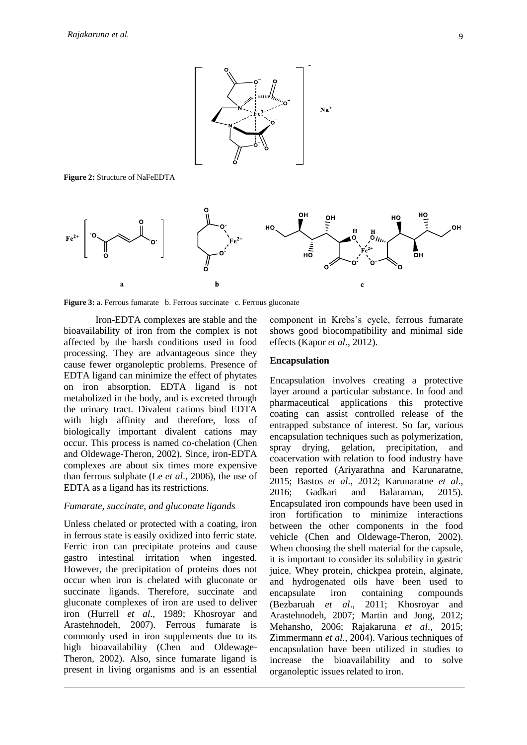

**Figure 2:** Structure of NaFeEDTA



**Figure 3:** a. Ferrous fumarate b. Ferrous succinate c. Ferrous gluconate

Iron-EDTA complexes are stable and the bioavailability of iron from the complex is not affected by the harsh conditions used in food processing. They are advantageous since they cause fewer organoleptic problems. Presence of EDTA ligand can minimize the effect of phytates on iron absorption. EDTA ligand is not metabolized in the body, and is excreted through the urinary tract. Divalent cations bind EDTA with high affinity and therefore, loss of biologically important divalent cations may occur. This process is named co-chelation (Chen and Oldewage-Theron, 2002). Since, iron-EDTA complexes are about six times more expensive than ferrous sulphate (Le *et al*., 2006), the use of EDTA as a ligand has its restrictions.

#### *Fumarate, succinate, and gluconate ligands*

Unless chelated or protected with a coating, iron in ferrous state is easily oxidized into ferric state. Ferric iron can precipitate proteins and cause gastro intestinal irritation when ingested. However, the precipitation of proteins does not occur when iron is chelated with gluconate or succinate ligands. Therefore, succinate and gluconate complexes of iron are used to deliver iron (Hurrell *et al*., 1989; Khosroyar and Arastehnodeh, 2007). Ferrous fumarate is commonly used in iron supplements due to its high bioavailability (Chen and Oldewage-Theron, 2002). Also, since fumarate ligand is present in living organisms and is an essential

component in Krebs's cycle, ferrous fumarate shows good biocompatibility and minimal side effects (Kapor *et al*., 2012).

#### **Encapsulation**

Encapsulation involves creating a protective layer around a particular substance. In food and pharmaceutical applications this protective coating can assist controlled release of the entrapped substance of interest. So far, various encapsulation techniques such as polymerization, spray drying, gelation, precipitation, and coacervation with relation to food industry have been reported (Ariyarathna and Karunaratne, 2015; Bastos *et al*., 2012; Karunaratne *et al*., 2016; Gadkari and Balaraman, 2015). Encapsulated iron compounds have been used in iron fortification to minimize interactions between the other components in the food vehicle (Chen and Oldewage-Theron, 2002). When choosing the shell material for the capsule. it is important to consider its solubility in gastric juice. Whey protein, chickpea protein, alginate, and hydrogenated oils have been used to encapsulate iron containing compounds (Bezbaruah *et al*., 2011; Khosroyar and Arastehnodeh, 2007; Martin and Jong, 2012; Mehansho, 2006; Rajakaruna *et al*., 2015; Zimmermann *et al*., 2004). Various techniques of encapsulation have been utilized in studies to increase the bioavailability and to solve organoleptic issues related to iron.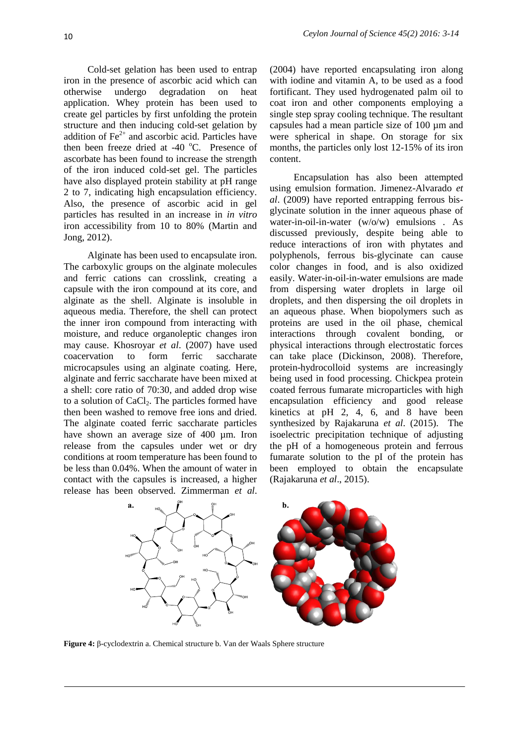Cold-set gelation has been used to entrap iron in the presence of ascorbic acid which can otherwise undergo degradation on heat application. Whey protein has been used to create gel particles by first unfolding the protein structure and then inducing cold-set gelation by addition of  $Fe<sup>2+</sup>$  and ascorbic acid. Particles have then been freeze dried at  $-40^{\circ}$ C. Presence of ascorbate has been found to increase the strength of the iron induced cold-set gel. The particles have also displayed protein stability at pH range 2 to 7, indicating high encapsulation efficiency. Also, the presence of ascorbic acid in gel particles has resulted in an increase in *in vitro* iron accessibility from 10 to 80% (Martin and Jong, 2012).

Alginate has been used to encapsulate iron. The carboxylic groups on the alginate molecules and ferric cations can crosslink, creating a capsule with the iron compound at its core, and alginate as the shell. Alginate is insoluble in aqueous media. Therefore, the shell can protect the inner iron compound from interacting with moisture, and reduce organoleptic changes iron may cause. Khosroyar *et al*. (2007) have used coacervation to form ferric saccharate microcapsules using an alginate coating. Here, alginate and ferric saccharate have been mixed at a shell: core ratio of 70:30, and added drop wise to a solution of  $CaCl<sub>2</sub>$ . The particles formed have then been washed to remove free ions and dried. The alginate coated ferric saccharate particles have shown an average size of 400 µm. Iron release from the capsules under wet or dry conditions at room temperature has been found to be less than 0.04%. When the amount of water in contact with the capsules is increased, a higher release has been observed. Zimmerman *et al*.

(2004) have reported encapsulating iron along with iodine and vitamin A, to be used as a food fortificant. They used hydrogenated palm oil to coat iron and other components employing a single step spray cooling technique. The resultant capsules had a mean particle size of 100 µm and were spherical in shape. On storage for six months, the particles only lost 12-15% of its iron content.

Encapsulation has also been attempted using emulsion formation. Jimenez-Alvarado *et al*. (2009) have reported entrapping ferrous bisglycinate solution in the inner aqueous phase of water-in-oil-in-water (w/o/w) emulsions . As discussed previously, despite being able to reduce interactions of iron with phytates and polyphenols, ferrous bis-glycinate can cause color changes in food, and is also oxidized easily. Water-in-oil-in-water emulsions are made from dispersing water droplets in large oil droplets, and then dispersing the oil droplets in an aqueous phase. When biopolymers such as proteins are used in the oil phase, chemical interactions through covalent bonding, or physical interactions through electrostatic forces can take place (Dickinson, 2008). Therefore, protein-hydrocolloid systems are increasingly being used in food processing. Chickpea protein coated ferrous fumarate microparticles with high encapsulation efficiency and good release kinetics at pH 2, 4, 6, and  $\overline{8}$  have been synthesized by Rajakaruna *et al*. (2015). The isoelectric precipitation technique of adjusting the pH of a homogeneous protein and ferrous fumarate solution to the pI of the protein has been employed to obtain the encapsulate (Rajakaruna *et al*., 2015).



**Figure 4:** β-cyclodextrin a. Chemical structure b. Van der Waals Sphere structure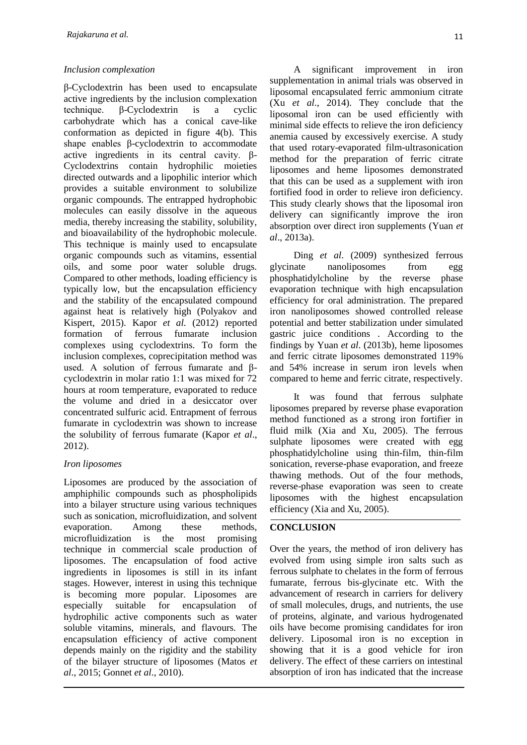## *Inclusion complexation*

β-Cyclodextrin has been used to encapsulate active ingredients by the inclusion complexation technique. β-Cyclodextrin is a cyclic carbohydrate which has a conical cave-like conformation as depicted in figure 4(b). This shape enables β-cyclodextrin to accommodate active ingredients in its central cavity. β-Cyclodextrins contain hydrophilic moieties directed outwards and a lipophilic interior which provides a suitable environment to solubilize organic compounds. The entrapped hydrophobic molecules can easily dissolve in the aqueous media, thereby increasing the stability, solubility, and bioavailability of the hydrophobic molecule. This technique is mainly used to encapsulate organic compounds such as vitamins, essential oils, and some poor water soluble drugs. Compared to other methods, loading efficiency is typically low, but the encapsulation efficiency and the stability of the encapsulated compound against heat is relatively high (Polyakov and Kispert, 2015). Kapor *et al.* (2012) reported formation of ferrous fumarate inclusion complexes using cyclodextrins. To form the inclusion complexes, coprecipitation method was used. A solution of ferrous fumarate and βcyclodextrin in molar ratio 1:1 was mixed for 72 hours at room temperature, evaporated to reduce the volume and dried in a desiccator over concentrated sulfuric acid. Entrapment of ferrous fumarate in cyclodextrin was shown to increase the solubility of ferrous fumarate (Kapor *et al*., 2012).

# *Iron liposomes*

Liposomes are produced by the association of amphiphilic compounds such as phospholipids into a bilayer structure using various techniques such as sonication, microfluidization, and solvent evaporation. Among these methods, microfluidization is the most promising technique in commercial scale production of liposomes. The encapsulation of food active ingredients in liposomes is still in its infant stages. However, interest in using this technique is becoming more popular. Liposomes are especially suitable for encapsulation of hydrophilic active components such as water soluble vitamins, minerals, and flavours. The encapsulation efficiency of active component depends mainly on the rigidity and the stability of the bilayer structure of liposomes (Matos *et al*., 2015; Gonnet *et al*., 2010).

A significant improvement in iron supplementation in animal trials was observed in liposomal encapsulated ferric ammonium citrate (Xu *et al*., 2014). They conclude that the liposomal iron can be used efficiently with minimal side effects to relieve the iron deficiency anemia caused by excessively exercise. A study that used rotary-evaporated film-ultrasonication method for the preparation of ferric citrate liposomes and heme liposomes demonstrated that this can be used as a supplement with iron fortified food in order to relieve iron deficiency. This study clearly shows that the liposomal iron delivery can significantly improve the iron absorption over direct iron supplements (Yuan *et* 

Ding *et al*. (2009) synthesized ferrous glycinate nanoliposomes from egg phosphatidylcholine by the reverse phase evaporation technique with high encapsulation efficiency for oral administration. The prepared iron nanoliposomes showed controlled release potential and better stabilization under simulated gastric juice conditions . According to the findings by Yuan *et al*. (2013b), heme liposomes and ferric citrate liposomes demonstrated 119% and 54% increase in serum iron levels when compared to heme and ferric citrate, respectively.

It was found that ferrous sulphate liposomes prepared by reverse phase evaporation method functioned as a strong iron fortifier in fluid milk (Xia and Xu, 2005). The ferrous sulphate liposomes were created with egg phosphatidylcholine using thin-film, thin-film sonication, reverse-phase evaporation, and freeze thawing methods. Out of the four methods, reverse-phase evaporation was seen to create liposomes with the highest encapsulation efficiency (Xia and Xu, 2005).

# **CONCLUSION**

*al*., 2013a).

Over the years, the method of iron delivery has evolved from using simple iron salts such as ferrous sulphate to chelates in the form of ferrous fumarate, ferrous bis-glycinate etc. With the advancement of research in carriers for delivery of small molecules, drugs, and nutrients, the use of proteins, alginate, and various hydrogenated oils have become promising candidates for iron delivery. Liposomal iron is no exception in showing that it is a good vehicle for iron delivery. The effect of these carriers on intestinal absorption of iron has indicated that the increase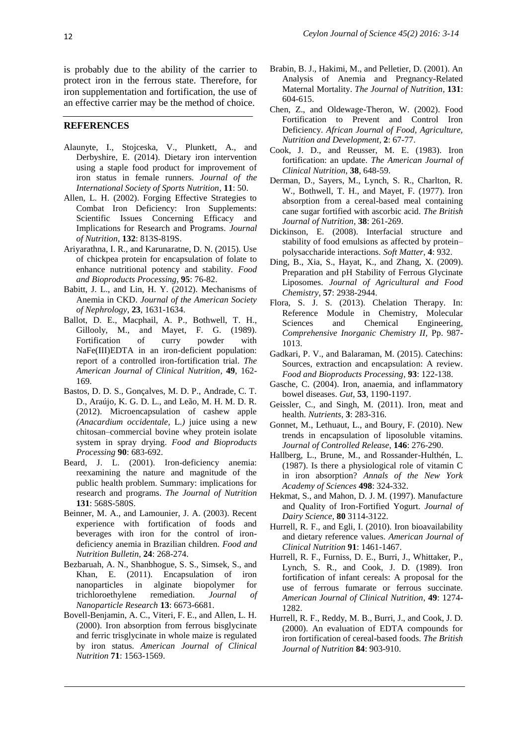is probably due to the ability of the carrier to protect iron in the ferrous state. Therefore, for iron supplementation and fortification, the use of an effective carrier may be the method of choice.

#### **REFERENCES**

- Alaunyte, I., Stojceska, V., Plunkett, A., and Derbyshire, E. (2014). Dietary iron intervention using a staple food product for improvement of iron status in female runners. *Journal of the International Society of Sports Nutrition*, **11**: 50.
- Allen, L. H. (2002). Forging Effective Strategies to Combat Iron Deficiency: Iron Supplements: Scientific Issues Concerning Efficacy and Implications for Research and Programs. *Journal of Nutrition*, **132**: 813S-819S.
- Ariyarathna, I. R., and Karunaratne, D. N. (2015). Use of chickpea protein for encapsulation of folate to enhance nutritional potency and stability. *Food and Bioproducts Processing*, **95**: 76-82.
- Babitt, J. L., and Lin, H. Y. (2012). Mechanisms of Anemia in CKD. *Journal of the American Society of Nephrology*, **23**, 1631-1634.
- Ballot, D. E., Macphail, A. P., Bothwell, T. H., Gillooly, M., and Mayet, F. G. (1989). Fortification of curry powder with NaFe(III)EDTA in an iron-deficient population: report of a controlled iron-fortification trial. *The American Journal of Clinical Nutrition*, **49**, 162- 169.
- Bastos, D. D. S., Gonçalves, M. D. P., Andrade, C. T. D., Araújo, K. G. D. L., and Leão, M. H. M. D. R. (2012). Microencapsulation of cashew apple *(Anacardium occidentale,* L.*)* juice using a new chitosan–commercial bovine whey protein isolate system in spray drying. *Food and Bioproducts Processing* **90**: 683-692.
- Beard, J. L. (2001). Iron-deficiency anemia: reexamining the nature and magnitude of the public health problem. Summary: implications for research and programs. *The Journal of Nutrition* **131**: 568S-580S.
- Beinner, M. A., and Lamounier, J. A. (2003). Recent experience with fortification of foods and beverages with iron for the control of irondeficiency anemia in Brazilian children. *Food and Nutrition Bulletin*, **24**: 268-274.
- Bezbaruah, A. N., Shanbhogue, S. S., Simsek, S., and Khan, E. (2011). Encapsulation of iron nanoparticles in alginate biopolymer for trichloroethylene remediation. *Journal of Nanoparticle Research* **13**: 6673-6681.
- Bovell-Benjamin, A. C., Viteri, F. E., and Allen, L. H. (2000). Iron absorption from ferrous bisglycinate and ferric trisglycinate in whole maize is regulated by iron status. *American Journal of Clinical Nutrition* **71**: 1563-1569.
- Brabin, B. J., Hakimi, M., and Pelletier, D. (2001). An Analysis of Anemia and Pregnancy-Related Maternal Mortality. *The Journal of Nutrition*, **131**: 604-615.
- Chen, Z., and Oldewage-Theron, W. (2002). Food Fortification to Prevent and Control Iron Deficiency. *African Journal of Food, Agriculture, Nutrition and Development*, **2**: 67-77.
- Cook, J. D., and Reusser, M. E. (1983). Iron fortification: an update. *The American Journal of Clinical Nutrition*, **38**, 648-59.
- Derman, D., Sayers, M., Lynch, S. R., Charlton, R. W., Bothwell, T. H., and Mayet, F. (1977). Iron absorption from a cereal-based meal containing cane sugar fortified with ascorbic acid. *The British Journal of Nutrition*, **38**: 261-269.
- Dickinson, E. (2008). Interfacial structure and stability of food emulsions as affected by protein– polysaccharide interactions. *Soft Matter*, **4**: 932.
- Ding, B., Xia, S., Hayat, K., and Zhang, X. (2009). Preparation and pH Stability of Ferrous Glycinate Liposomes. *Journal of Agricultural and Food Chemistry*, **57**: 2938-2944.
- Flora, S. J. S. (2013). Chelation Therapy. In: [Reference Module in Chemistry, Molecular](http://www.sciencedirect.com/science/referenceworks/9780124095472)  [Sciences and Chemical Engineering,](http://www.sciencedirect.com/science/referenceworks/9780124095472) *Comprehensive Inorganic Chemistry II,* Pp. 987- 1013.
- Gadkari, P. V., and Balaraman, M. (2015). Catechins: Sources, extraction and encapsulation: A review. *Food and Bioproducts Processing*, **93**: 122-138.
- Gasche, C. (2004). Iron, anaemia, and inflammatory bowel diseases. *Gut*, **53**, 1190-1197.
- Geissler, C., and Singh, M. (2011). Iron, meat and health. *Nutrients*, **3**: 283-316.
- Gonnet, M., Lethuaut, L., and Boury, F. (2010). New trends in encapsulation of liposoluble vitamins. *Journal of Controlled Release*, **146**: 276-290.
- Hallberg, L., Brune, M., and Rossander-Hulthén, L. (1987). Is there a physiological role of vitamin C in iron absorption? *Annals of the New York Academy of Sciences* **498**: 324-332.
- Hekmat, S., and Mahon, D. J. M. (1997). Manufacture and Quality of Iron-Fortified Yogurt. *Journal of Dairy Science*, **80** 3114-3122.
- Hurrell, R. F., and Egli, I. (2010). Iron bioavailability and dietary reference values. *American Journal of Clinical Nutrition* **91**: 1461-1467.
- Hurrell, R. F., Furniss, D. E., Burri, J., Whittaker, P., Lynch, S. R., and Cook, J. D. (1989). Iron fortification of infant cereals: A proposal for the use of ferrous fumarate or ferrous succinate. *American Journal of Clinical Nutrition*, **49**: 1274- 1282.
- Hurrell, R. F., Reddy, M. B., Burri, J., and Cook, J. D. (2000). An evaluation of EDTA compounds for iron fortification of cereal-based foods. *The British Journal of Nutrition* **84**: 903-910.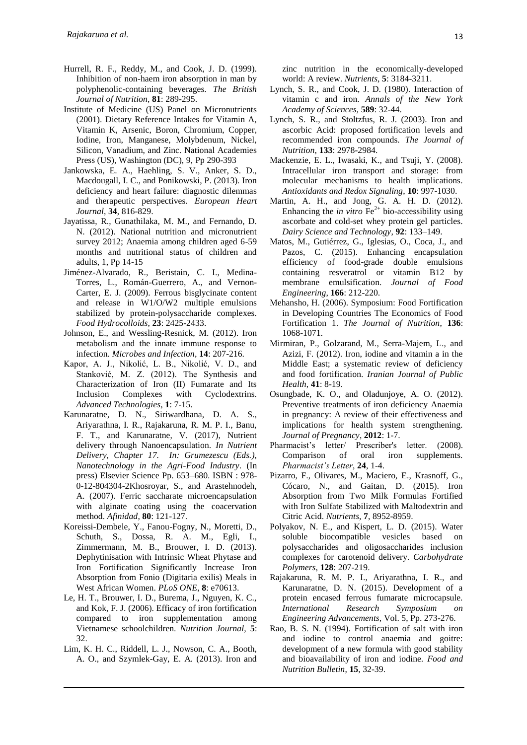- Hurrell, R. F., Reddy, M., and Cook, J. D. (1999). Inhibition of non-haem iron absorption in man by polyphenolic-containing beverages. *The British Journal of Nutrition*, **81**: 289-295.
- Institute of Medicine (US) Panel on Micronutrients (2001). Dietary Reference Intakes for Vitamin A, Vitamin K, Arsenic, Boron, Chromium, Copper, Iodine, Iron, Manganese, Molybdenum, Nickel, Silicon, Vanadium, and Zinc. National Academies Press (US), Washington (DC), 9, Pp 290-393
- Jankowska, E. A., Haehling, S. V., Anker, S. D., Macdougall, I. C., and Ponikowski, P. (2013). Iron deficiency and heart failure: diagnostic dilemmas and therapeutic perspectives. *European Heart Journal*, **34**, 816-829.
- Jayatissa, R., Gunathilaka, M. M., and Fernando, D. N. (2012). National nutrition and micronutrient survey 2012; Anaemia among children aged 6-59 months and nutritional status of children and adults, 1, Pp 14-15
- Jiménez-Alvarado, R., Beristain, C. I., Medina-Torres, L., Román-Guerrero, A., and Vernon-Carter, E. J. (2009). Ferrous bisglycinate content and release in W1/O/W2 multiple emulsions stabilized by protein-polysaccharide complexes. *Food Hydrocolloids*, **23**: 2425-2433.
- Johnson, E., and Wessling-Resnick, M. (2012). Iron metabolism and the innate immune response to infection. *Microbes and Infection*, **14**: 207-216.
- Kapor, A. J., Nikolić, L. B., Nikolić, V. D., and Stanković, M. Z. (2012). The Synthesis and Characterization of Iron (II) Fumarate and Its Inclusion Complexes with Cyclodextrins. *Advanced Technologies*, **1**: 7-15.
- Karunaratne, D. N., Siriwardhana, D. A. S., Ariyarathna, I. R., Rajakaruna, R. M. P. I., Banu, F. T., and Karunaratne, V. (2017), Nutrient delivery through Nanoencapsulation. *In Nutrient Delivery, Chapter 17. In: Grumezescu (Eds.), Nanotechnology in the Agri-Food Industry*. (In press) Elsevier Science Pp. 653–680. ISBN : 978- 0-12-804304-2Khosroyar, S., and Arastehnodeh, A. (2007). Ferric saccharate microencapsulation with alginate coating using the coacervation method. *Afinidad*, **80**: 121-127.
- Koreissi-Dembele, Y., Fanou-Fogny, N., Moretti, D., Schuth, S., Dossa, R. A. M., Egli, I., Zimmermann, M. B., Brouwer, I. D. (2013). Dephytinisation with Intrinsic Wheat Phytase and Iron Fortification Significantly Increase Iron Absorption from Fonio (Digitaria exilis) Meals in West African Women. *PLoS ONE*, **8**: e70613.
- Le, H. T., Brouwer, I. D., Burema, J., Nguyen, K. C., and Kok, F. J. (2006). Efficacy of iron fortification compared to iron supplementation among Vietnamese schoolchildren. *Nutrition Journal*, **5**: 32.
- Lim, K. H. C., Riddell, L. J., Nowson, C. A., Booth, A. O., and Szymlek-Gay, E. A. (2013). Iron and

zinc nutrition in the economically-developed world: A review. *Nutrients*, **5**: 3184-3211.

- Lynch, S. R., and Cook, J. D. (1980). Interaction of vitamin c and iron. *Annals of the New York Academy of Sciences,* **589**: 32-44.
- Lynch, S. R., and Stoltzfus, R. J. (2003). Iron and ascorbic Acid: proposed fortification levels and recommended iron compounds. *The Journal of Nutrition*, **133**: 2978-2984.
- Mackenzie, E. L., Iwasaki, K., and Tsuji, Y. (2008). Intracellular iron transport and storage: from molecular mechanisms to health implications. *Antioxidants and Redox Signaling*, **10**: 997-1030.
- Martin, A. H., and Jong, G. A. H. D. (2012). Enhancing the *in vitro*  $\text{Fe}^{2+}$  bio-accessibility using ascorbate and cold-set whey protein gel particles. *Dairy Science and Technology*, **92**: 133–149.
- Matos, M., Gutiérrez, G., Iglesias, O., Coca, J., and Pazos, C. (2015). Enhancing encapsulation efficiency of food-grade double emulsions containing resveratrol or vitamin B12 by membrane emulsification. *Journal of Food Engineering*, **166**: 212-220.
- Mehansho, H. (2006). Symposium: Food Fortification in Developing Countries The Economics of Food Fortification 1. *The Journal of Nutrition*, **136**: 1068-1071.
- Mirmiran, P., Golzarand, M., Serra-Majem, L., and Azizi, F. (2012). Iron, iodine and vitamin a in the Middle East; a systematic review of deficiency and food fortification. *Iranian Journal of Public Health*, **41**: 8-19.
- Osungbade, K. O., and Oladunjoye, A. O. (2012). Preventive treatments of iron deficiency Anaemia in pregnancy: A review of their effectiveness and implications for health system strengthening. *Journal of Pregnancy*, **2012**: 1-7.
- Pharmacist's letter/ Prescriber's letter. (2008). Comparison of oral iron supplements. *Pharmacist's Letter*, **24**, 1-4.
- Pizarro, F., Olivares, M., Maciero, E., Krasnoff, G., Cócaro, N., and Gaitan, D. (2015). Iron Absorption from Two Milk Formulas Fortified with Iron Sulfate Stabilized with Maltodextrin and Citric Acid. *Nutrients*, **7**, 8952-8959.
- Polyakov, N. E., and Kispert, L. D. (2015). Water soluble biocompatible vesicles based on polysaccharides and oligosaccharides inclusion complexes for carotenoid delivery. *Carbohydrate Polymers*, **128**: 207-219.
- Rajakaruna, R. M. P. I., Ariyarathna, I. R., and Karunaratne, D. N. (2015). Development of a protein encased ferrous fumarate microcapsule. *International Research Symposium on Engineering Advancements,* Vol. 5, Pp. 273-276.
- Rao, B. S. N. (1994). Fortification of salt with iron and iodine to control anaemia and goitre: development of a new formula with good stability and bioavailability of iron and iodine. *Food and Nutrition Bulletin*, **15**, 32-39.